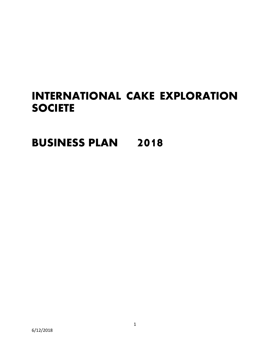# **INTERNATIONAL CAKE EXPLORATION SOCIETE**

**BUSINESS PLAN 2018**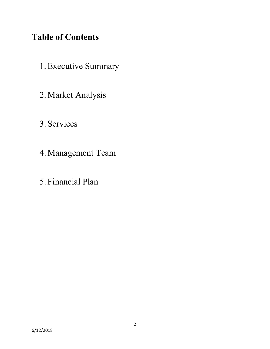## **Table of Contents**

- 1.Executive Summary
- 2.Market Analysis
- 3. Services
- 4.Management Team
- 5. Financial Plan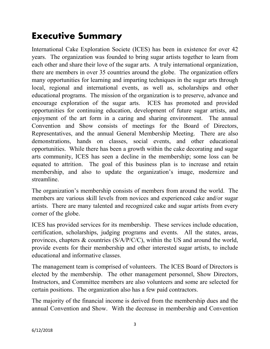# **Executive Summary**

International Cake Exploration Societe (ICES) has been in existence for over 42 years. The organization was founded to bring sugar artists together to learn from each other and share their love of the sugar arts. A truly international organization, there are members in over 35 countries around the globe. The organization offers many opportunities for learning and imparting techniques in the sugar arts through local, regional and international events, as well as, scholarships and other educational programs. The mission of the organization is to preserve, advance and encourage exploration of the sugar arts. ICES has promoted and provided opportunities for continuing education, development of future sugar artists, and enjoyment of the art form in a caring and sharing environment. The annual Convention and Show consists of meetings for the Board of Directors, Representatives, and the annual General Membership Meeting. There are also demonstrations, hands on classes, social events, and other educational opportunities. While there has been a growth within the cake decorating and sugar arts community, ICES has seen a decline in the membership; some loss can be equated to attrition. The goal of this business plan is to increase and retain membership, and also to update the organization's image, modernize and streamline.

The organization's membership consists of members from around the world. The members are various skill levels from novices and experienced cake and/or sugar artists. There are many talented and recognized cake and sugar artists from every corner of the globe.

ICES has provided services for its membership. These services include education, certification, scholarships, judging programs and events. All the states, areas, provinces, chapters & countries (S/A/P/C/C), within the US and around the world, provide events for their membership and other interested sugar artists, to include educational and informative classes.

The management team is comprised of volunteers. The ICES Board of Directors is elected by the membership. The other management personnel, Show Directors, Instructors, and Committee members are also volunteers and some are selected for certain positions. The organization also has a few paid contractors.

The majority of the financial income is derived from the membership dues and the annual Convention and Show. With the decrease in membership and Convention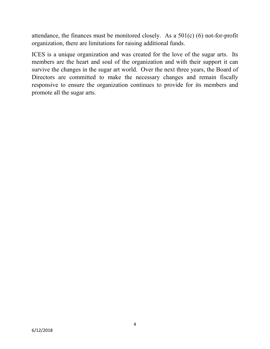attendance, the finances must be monitored closely. As a 501(c) (6) not-for-profit organization, there are limitations for raising additional funds.

ICES is a unique organization and was created for the love of the sugar arts. Its members are the heart and soul of the organization and with their support it can survive the changes in the sugar art world. Over the next three years, the Board of Directors are committed to make the necessary changes and remain fiscally responsive to ensure the organization continues to provide for its members and promote all the sugar arts.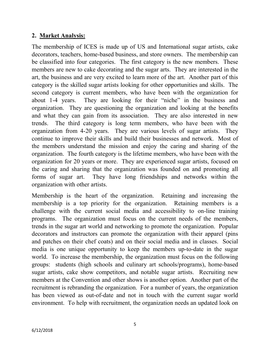#### **2. Market Analysis:**

The membership of ICES is made up of US and International sugar artists, cake decorators, teachers, home-based business, and store owners. The membership can be classified into four categories. The first category is the new members. These members are new to cake decorating and the sugar arts. They are interested in the art, the business and are very excited to learn more of the art. Another part of this category is the skilled sugar artists looking for other opportunities and skills. The second category is current members, who have been with the organization for about 1-4 years. They are looking for their "niche" in the business and organization. They are questioning the organization and looking at the benefits and what they can gain from its association. They are also interested in new trends. The third category is long term members, who have been with the organization from 4-20 years. They are various levels of sugar artists. They continue to improve their skills and build their businesses and network. Most of the members understand the mission and enjoy the caring and sharing of the organization. The fourth category is the lifetime members, who have been with the organization for 20 years or more. They are experienced sugar artists, focused on the caring and sharing that the organization was founded on and promoting all forms of sugar art. They have long friendships and networks within the organization with other artists.

Membership is the heart of the organization. Retaining and increasing the membership is a top priority for the organization. Retaining members is a challenge with the current social media and accessibility to on-line training programs. The organization must focus on the current needs of the members, trends in the sugar art world and networking to promote the organization. Popular decorators and instructors can promote the organization with their apparel (pins and patches on their chef coats) and on their social media and in classes. Social media is one unique opportunity to keep the members up-to-date in the sugar world. To increase the membership, the organization must focus on the following groups: students (high schools and culinary art schools/programs), home-based sugar artists, cake show competitors, and notable sugar artists. Recruiting new members at the Convention and other shows is another option. Another part of the recruitment is rebranding the organization. For a number of years, the organization has been viewed as out-of-date and not in touch with the current sugar world environment. To help with recruitment, the organization needs an updated look on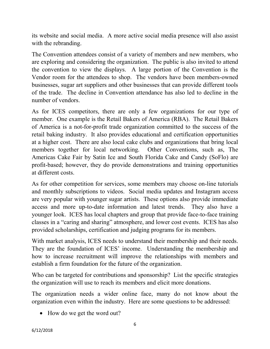its website and social media. A more active social media presence will also assist with the rebranding.

The Convention attendees consist of a variety of members and new members, who are exploring and considering the organization. The public is also invited to attend the convention to view the displays. A large portion of the Convention is the Vendor room for the attendees to shop. The vendors have been members-owned businesses, sugar art suppliers and other businesses that can provide different tools of the trade. The decline in Convention attendance has also led to decline in the number of vendors.

As for ICES competitors, there are only a few organizations for our type of member. One example is the Retail Bakers of America (RBA). The Retail Bakers of America is a not-for-profit trade organization committed to the success of the retail baking industry. It also provides educational and certification opportunities at a higher cost. There are also local cake clubs and organizations that bring local members together for local networking. Other Conventions, such as, The Americas Cake Fair by Satin Ice and South Florida Cake and Candy (SoFlo) are profit-based; however, they do provide demonstrations and training opportunities at different costs.

As for other competition for services, some members may choose on-line tutorials and monthly subscriptions to videos. Social media updates and Instagram access are very popular with younger sugar artists. These options also provide immediate access and more up-to-date information and latest trends. They also have a younger look. ICES has local chapters and group that provide face-to-face training classes in a "caring and sharing" atmosphere, and lower cost events. ICES has also provided scholarships, certification and judging programs for its members.

With market analysis, ICES needs to understand their membership and their needs. They are the foundation of ICES' income. Understanding the membership and how to increase recruitment will improve the relationships with members and establish a firm foundation for the future of the organization.

Who can be targeted for contributions and sponsorship? List the specific strategies the organization will use to reach its members and elicit more donations.

The organization needs a wider online face, many do not know about the organization even within the industry. Here are some questions to be addressed:

• How do we get the word out?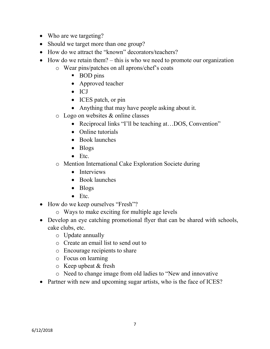- Who are we targeting?
- Should we target more than one group?
- How do we attract the "known" decorators/teachers?
- How do we retain them? this is who we need to promote our organization
	- o Wear pins/patches on all aprons/chef's coats
		- **BOD** pins
		- Approved teacher
		- ICJ
		- ICES patch, or pin
		- Anything that may have people asking about it.
	- o Logo on websites & online classes
		- Reciprocal links "I'll be teaching at...DOS, Convention"
		- Online tutorials
		- Book launches
		- Blogs
		- Etc.
	- o Mention International Cake Exploration Societe during
		- Interviews
		- Book launches
		- Blogs
		- Etc.
- How do we keep ourselves "Fresh"?
	- o Ways to make exciting for multiple age levels
- Develop an eye catching promotional flyer that can be shared with schools, cake clubs, etc.
	- o Update annually
	- o Create an email list to send out to
	- o Encourage recipients to share
	- o Focus on learning
	- o Keep upbeat & fresh
	- o Need to change image from old ladies to "New and innovative
- Partner with new and upcoming sugar artists, who is the face of ICES?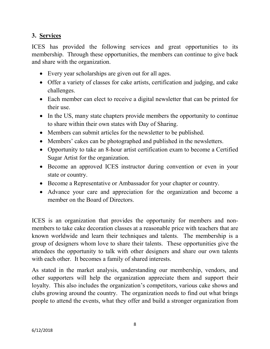### **3. Services**

ICES has provided the following services and great opportunities to its membership. Through these opportunities, the members can continue to give back and share with the organization.

- Every year scholarships are given out for all ages.
- Offer a variety of classes for cake artists, certification and judging, and cake challenges.
- Each member can elect to receive a digital newsletter that can be printed for their use.
- In the US, many state chapters provide members the opportunity to continue to share within their own states with Day of Sharing.
- Members can submit articles for the newsletter to be published.
- Members' cakes can be photographed and published in the newsletters.
- Opportunity to take an 8-hour artist certification exam to become a Certified Sugar Artist for the organization.
- Become an approved ICES instructor during convention or even in your state or country.
- Become a Representative or Ambassador for your chapter or country.
- Advance your care and appreciation for the organization and become a member on the Board of Directors.

ICES is an organization that provides the opportunity for members and nonmembers to take cake decoration classes at a reasonable price with teachers that are known worldwide and learn their techniques and talents. The membership is a group of designers whom love to share their talents. These opportunities give the attendees the opportunity to talk with other designers and share our own talents with each other. It becomes a family of shared interests.

As stated in the market analysis, understanding our membership, vendors, and other supporters will help the organization appreciate them and support their loyalty. This also includes the organization's competitors, various cake shows and clubs growing around the country. The organization needs to find out what brings people to attend the events, what they offer and build a stronger organization from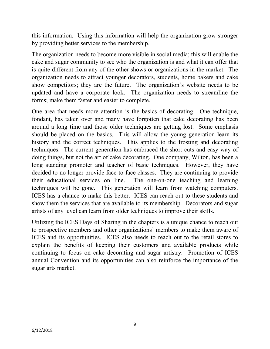this information. Using this information will help the organization grow stronger by providing better services to the membership.

The organization needs to become more visible in social media; this will enable the cake and sugar community to see who the organization is and what it can offer that is quite different from any of the other shows or organizations in the market. The organization needs to attract younger decorators, students, home bakers and cake show competitors; they are the future. The organization's website needs to be updated and have a corporate look. The organization needs to streamline the forms; make them faster and easier to complete.

One area that needs more attention is the basics of decorating. One technique, fondant, has taken over and many have forgotten that cake decorating has been around a long time and those older techniques are getting lost. Some emphasis should be placed on the basics. This will allow the young generation learn its history and the correct techniques. This applies to the frosting and decorating techniques. The current generation has embraced the short cuts and easy way of doing things, but not the art of cake decorating. One company, Wilton, has been a long standing promoter and teacher of basic techniques. However, they have decided to no longer provide face-to-face classes. They are continuing to provide their educational services on line. The one-on-one teaching and learning techniques will be gone. This generation will learn from watching computers. ICES has a chance to make this better. ICES can reach out to these students and show them the services that are available to its membership. Decorators and sugar artists of any level can learn from older techniques to improve their skills.

Utilizing the ICES Days of Sharing in the chapters is a unique chance to reach out to prospective members and other organizations' members to make them aware of ICES and its opportunities. ICES also needs to reach out to the retail stores to explain the benefits of keeping their customers and available products while continuing to focus on cake decorating and sugar artistry. Promotion of ICES annual Convention and its opportunities can also reinforce the importance of the sugar arts market.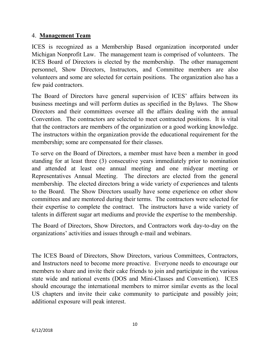#### 4. **Management Team**

ICES is recognized as a Membership Based organization incorporated under Michigan Nonprofit Law. The management team is comprised of volunteers. The ICES Board of Directors is elected by the membership. The other management personnel, Show Directors, Instructors, and Committee members are also volunteers and some are selected for certain positions. The organization also has a few paid contractors.

The Board of Directors have general supervision of ICES' affairs between its business meetings and will perform duties as specified in the Bylaws. The Show Directors and their committees oversee all the affairs dealing with the annual Convention. The contractors are selected to meet contracted positions. It is vital that the contractors are members of the organization or a good working knowledge. The instructors within the organization provide the educational requirement for the membership; some are compensated for their classes.

To serve on the Board of Directors, a member must have been a member in good standing for at least three (3) consecutive years immediately prior to nomination and attended at least one annual meeting and one midyear meeting or Representatives Annual Meeting. The directors are elected from the general membership. The elected directors bring a wide variety of experiences and talents to the Board. The Show Directors usually have some experience on other show committees and are mentored during their terms. The contractors were selected for their expertise to complete the contract. The instructors have a wide variety of talents in different sugar art mediums and provide the expertise to the membership.

The Board of Directors, Show Directors, and Contractors work day-to-day on the organizations' activities and issues through e-mail and webinars.

The ICES Board of Directors, Show Directors, various Committees, Contractors, and Instructors need to become more proactive. Everyone needs to encourage our members to share and invite their cake friends to join and participate in the various state wide and national events (DOS and Mini-Classes and Convention). ICES should encourage the international members to mirror similar events as the local US chapters and invite their cake community to participate and possibly join; additional exposure will peak interest.